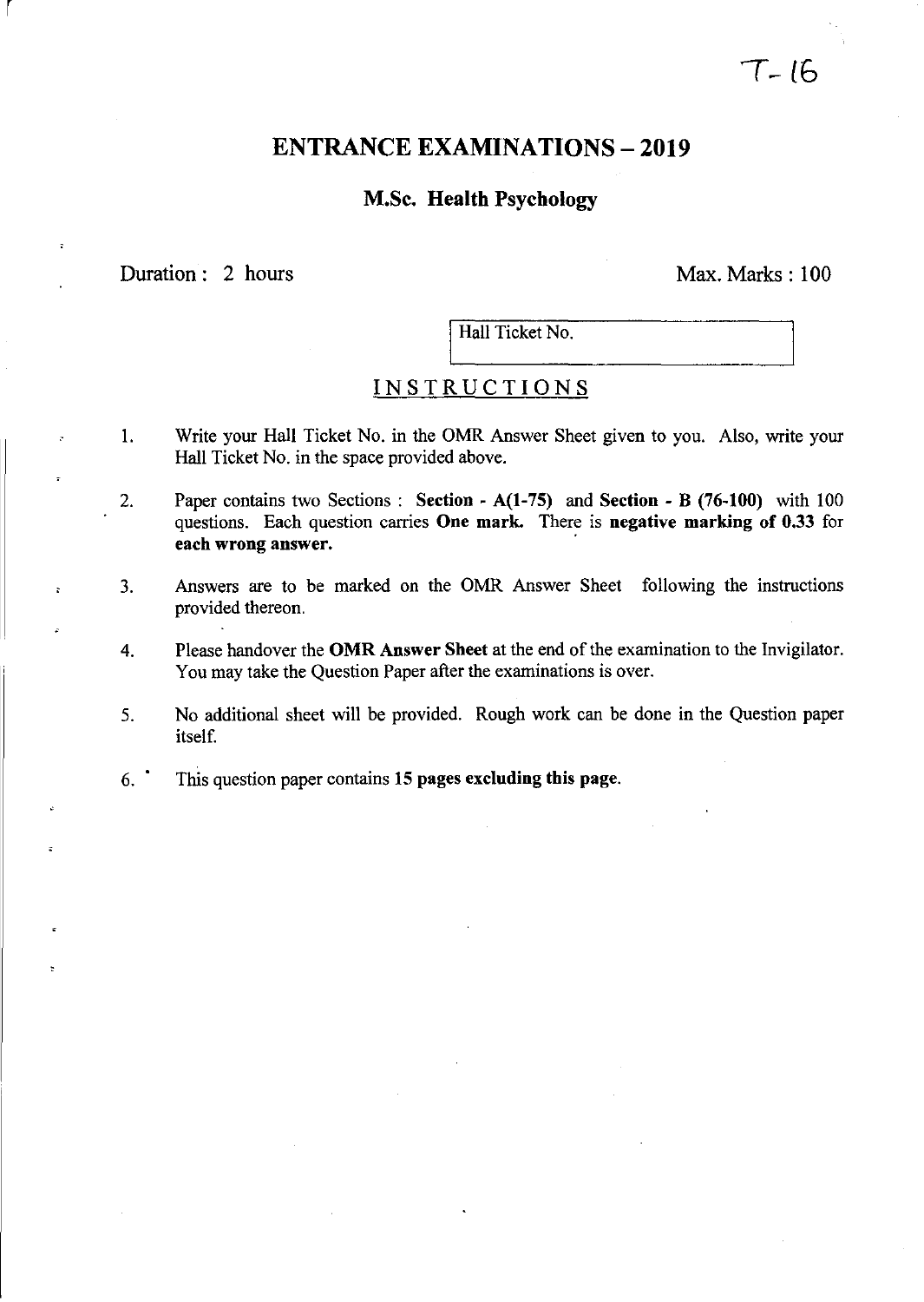# $T - 16$

# ENTRANCE EXAMINATIONS - **2019**

## M.Sc. Health Psychology

Duration: 2 hours Max. Marks: 100

r

Hall Ticket No.

# **INSTRUCTIONS**

- 1. Write your Hall Ticket No. in the OMR Answer Sheet given to you. Also, write your Hall Ticket No. in the space provided above.
- 2. Paper contains two Sections: Section A(I-75) and Section B (76-100) with 100 questions. Each question carries One mark. There is negative marking of 0.33 for each wrong answer.
- 3. Answers are to be marked on the OMR Answer Sheet following the instructions provided thereon.
- 4. Please handover the OMR Answer Sheet at the end of the examination to the Invigilator. You may take the Question Paper after the examinations is over.
- 5. No additional sheet will be provided. Rough work can be done in the Question paper itself.
- 6.' This question paper contains 15 pages excluding this page.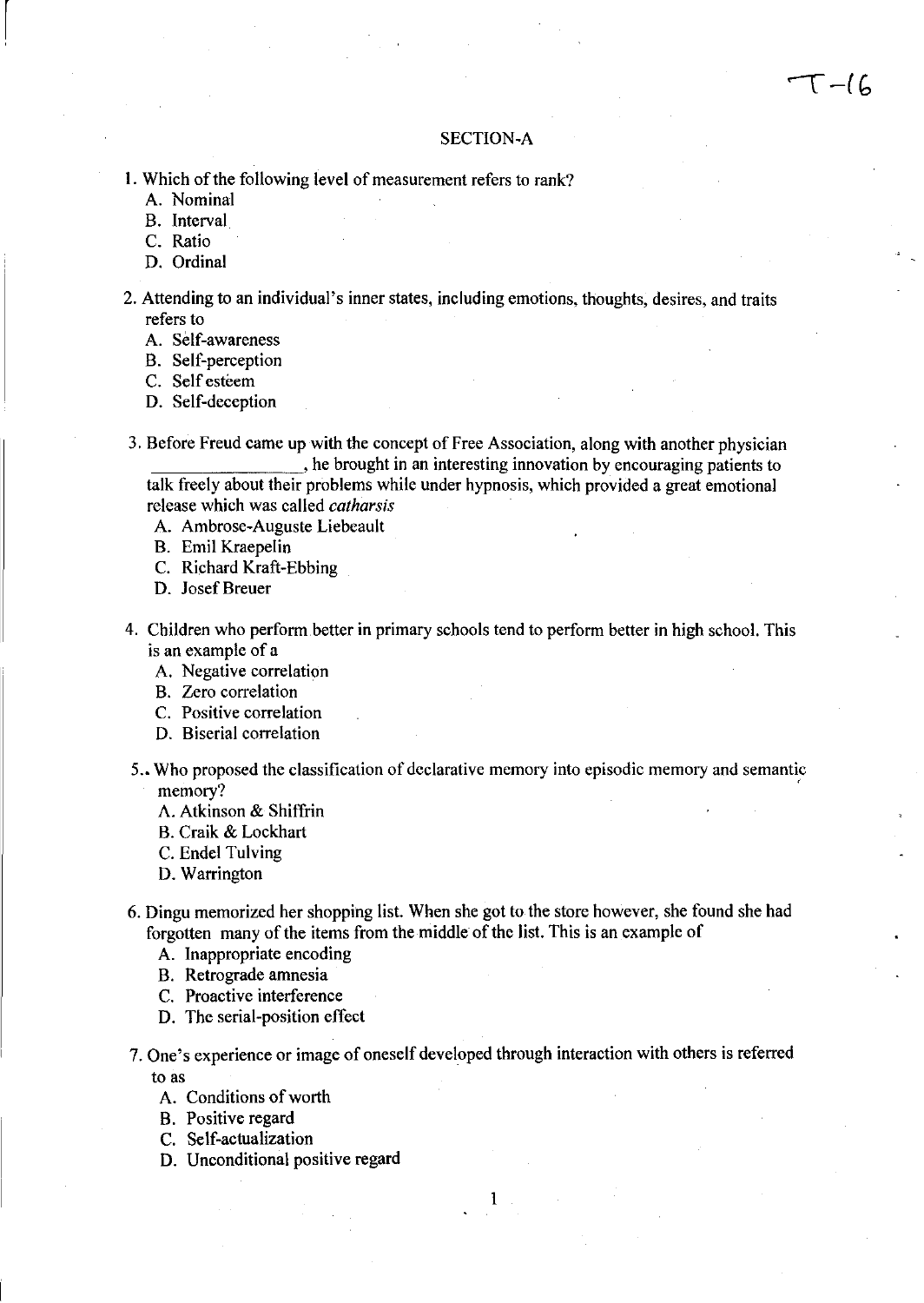#### SECTION-A

- I. Which of the following level of measurement refers to rank?
	- A. Nominal

 $\vert$ 

- B. Interval
- C. Ratio
- D. Ordinal
- 2. Attending to an individual's inner states, including emotions, thoughts, desires, and traits refers to
	- A. Self-awareness
	- B. Self-perception
	- C. Self esteem
	- D. Self-deception
- 3. Before Freud came up with the concept of Free Association, along with another physician , he brought in an interesting innovation by encouraging patients to talk freely about their problems while under hypnosis, which provided a great emotional release which was called *catharsis* 
	- A. Ambrose-Auguste Liebeault
	- B. Emil Kraepelin
	- C. Richard Kraft-Ebbing
	- D. Josef Breuer
- 4. Children who perform better in primary schools tend to perform better in high school. This is an example of a
	- A. Negative correlation
	- B. Zero correlation
	- C. Positive correlation
	- D. Biserial correlation
- 5 .• Who proposed the classification of declarative memory into episodic memory and semantic memory? The contract of the contract of the contract of the contract of the contract of the contract of the contract of the contract of the contract of the contract of the contract of the contract of the contract of the co
	- A. Atkinson & Shiffrin
	- B. Craik & Lockhart
	- C. Endel Tulving
	- D. Warrington
- 6. Dingu memorized her shopping list. When she got to the store however, she found she had forgotten many of the items from the middle of the list. This is an example of
	- A. Inappropriate encoding
	- B. Retrograde amnesia
	- C. Proactive interference
	- D. The serial-position effect
- 7. One's experience or image of oneself developed through interaction with others is referred to as

- A. Conditions of worth
- B. Positive regard
- C. Self-actualization
- D. Unconditional positive regard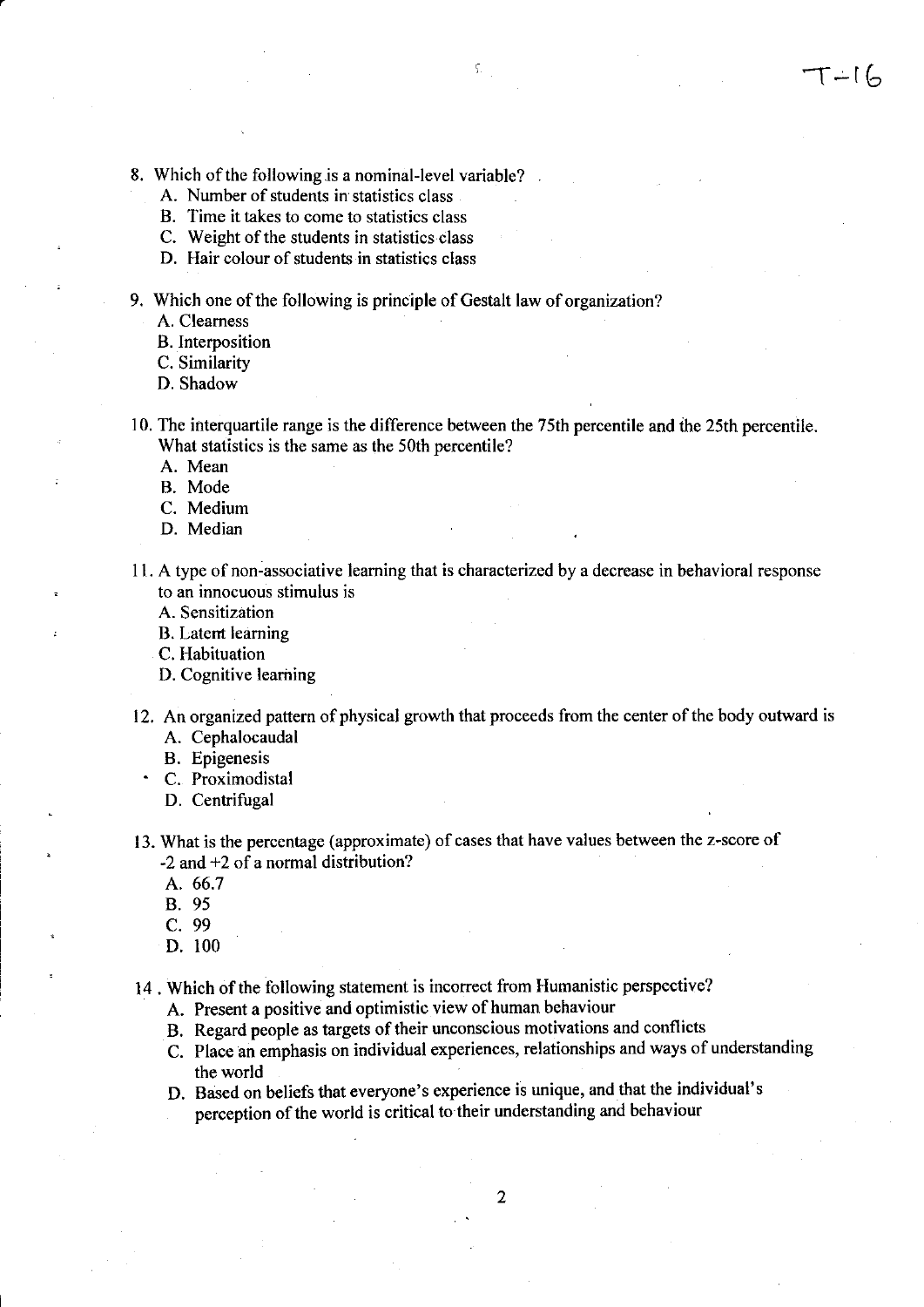- 8. Which of the following.is a nominal-level variable?
	- A. Number of students in statistics class
	- B. Time it takes to come to statistics class
	- C. Weight of the students in statistics class
	- D. Hair colour of students in statistics class
- 9. Which one of the following is principle of Gestalt law of organization?

A. Clearness

B. Interposition

C. Similarity

- D. Shadow
- 10. The interquartile range is the difference between the 75th percentile and the 25th percentile. What statistics is the same as the 50th percentile?

A. Mean

- B. Mode
- C. Medium
- D. Median
- II. A type of non-associative learning that is characterized by a decrease in behavioral response to an innocuous stimulus is

A. Sensitization

B. Latent learning

C. Habituation

- D. Cognitive learning
- 12. An organized pattern of physical growth that proceeds from the center of the body outward is A. Cephalocaudal
	- B. Epigenesis
	- C. Proximodistal
		- D. Centrifugal
- 13. What is the percentage (approximate) of cases that have values between the z-score of -2 and +2 of a normal distribution?
	- A.66.7
	- B. 95
	- C. 99
	- D. 100
- 14. Which of the following statement is incorrect from Humanistic perspective?
	- A. Present a positive and optimistic view of human behaviour
	- B. Regard people as targets of their unconscious motivations and conflicts
	- C. Place an emphasis on individual experiences, relationships and ways of understanding the world
	- D. Based on beliefs that everyone's experience is unique, and that the individual's perception of the world is critical to their understanding and behaviour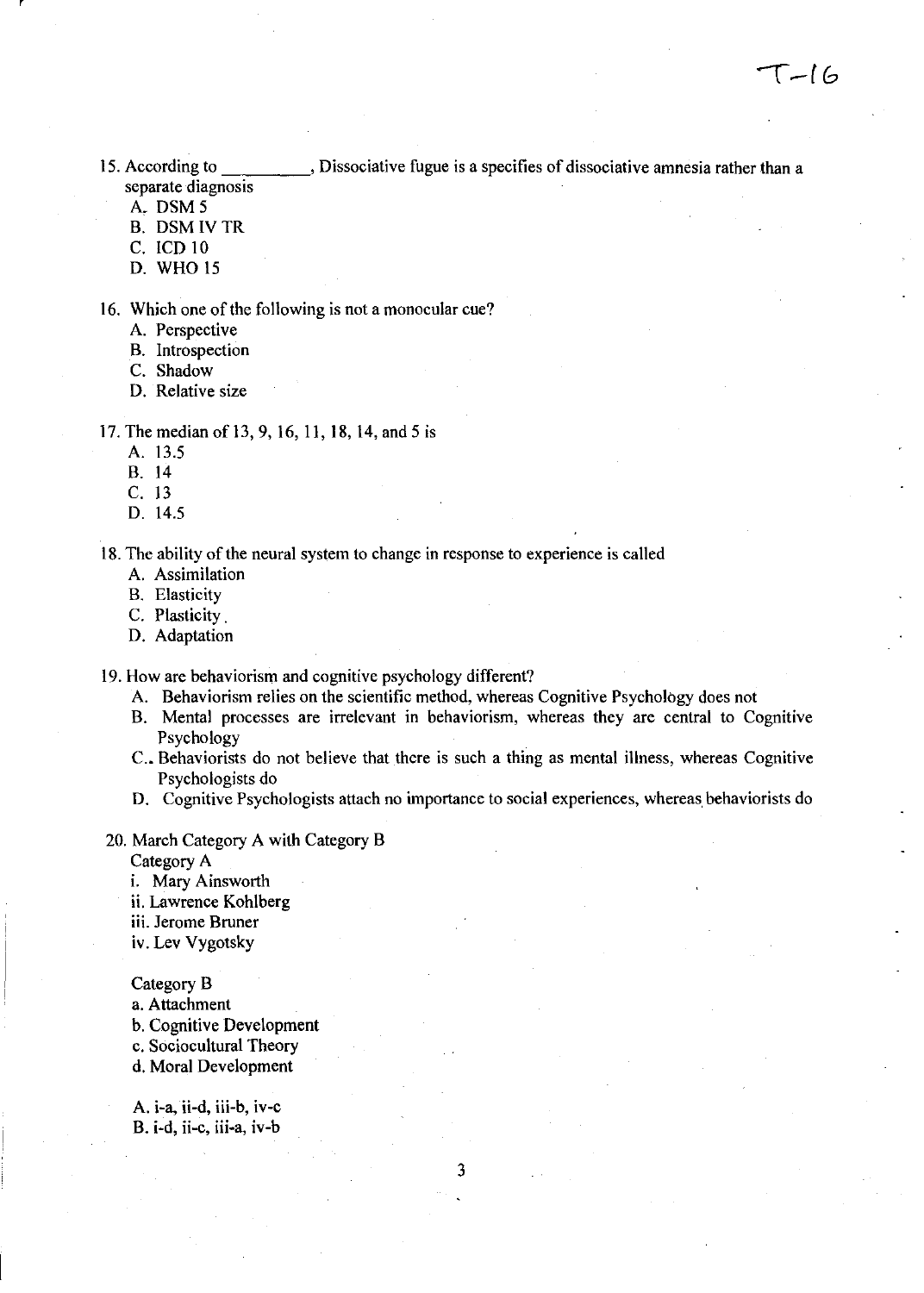15. According to \_\_\_\_\_\_\_\_\_, Dissociative fugue is a specifies of dissociative amnesia rather than a separate diagnosis

A, DSM5

- B. DSMIVTR
- C. lCD 10
- D. WHO IS
- 16. Which one of the following is not a monocular cue?
	- A. Perspective
	- B. Introspection
	- C. Shadow
	- D. Relative size
- 17. The median of 13,9,16, II, 18, 14, and 5 is
	- A. 13.5
	- B. 14
	- C. 13
	- D. 14.5

18. The ability of the neural system to change in response to experience is called

- A. Assimilation
- B. Elasticity
- C. Plasticity.
- D. Adaptation

19. How are behaviorism and cognitive psychology different?

- A. Behaviorism relies on the scientific method, whereas Cognitive Psychology does not
- B. Mental processes are irrelevant in behaviorism, whereas they are central to Cognitive Psychology
- C.. Behaviorists do not believe that there is such a thing as mental illness, whereas Cognitive Psychologists do
- D. Cognitive Psychologists attach no importance to social experiences, whereas behaviorists do
- 20. March Category A with Category B

Category A

- i. Mary Ainsworth
- ii. Lawrence Kohlberg
- iii. Jerome Bruner
- iv. Lev Vygotsky

Category B

- a. Attachment
- b. Cognitive Development
- c. Sociocultural Theory
- d. Moral Development

A. i-a, ii-d, iii-b, iv-c B. i-d, ii-c, iii-a, iv-b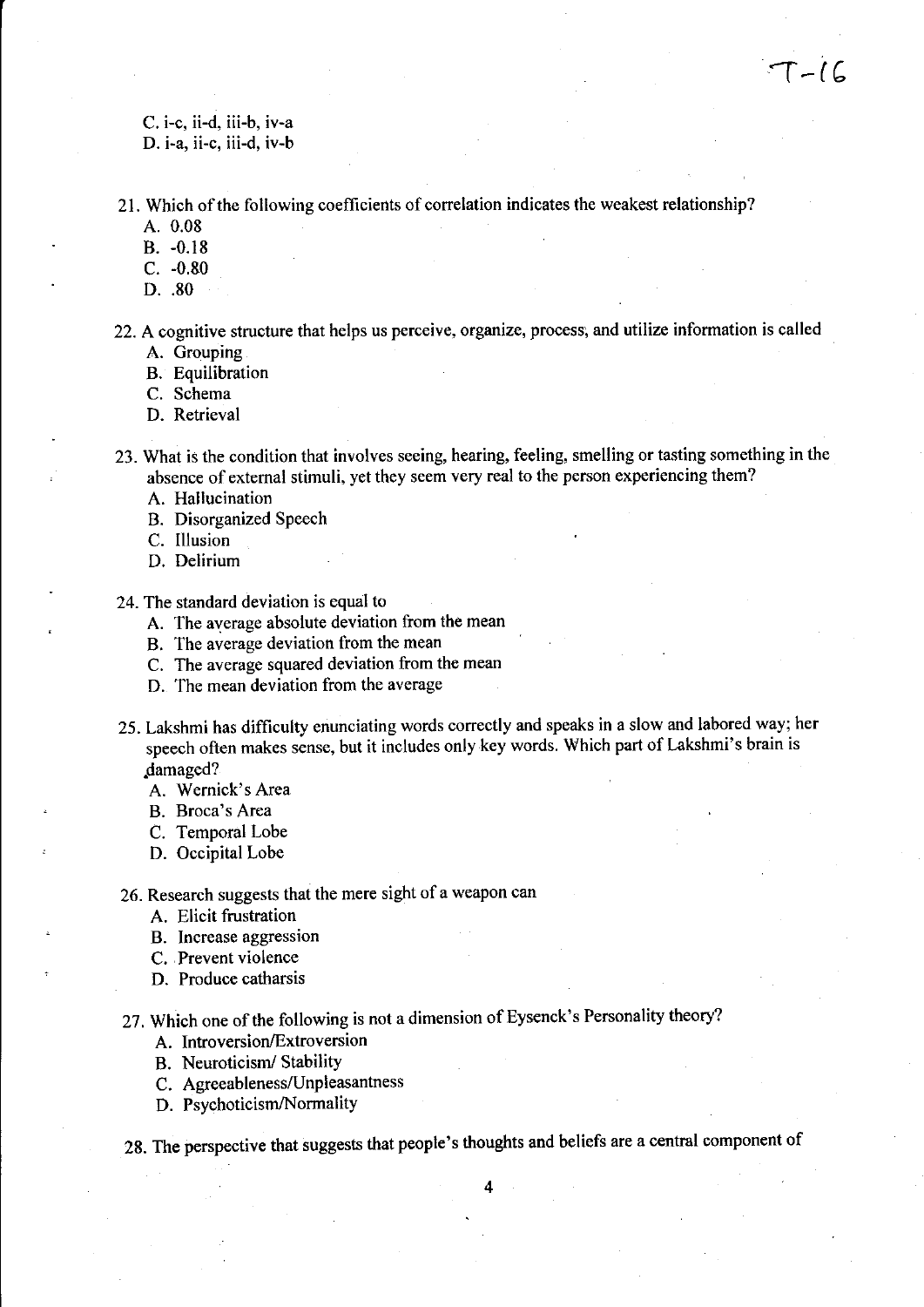C. i-c, ii-d, iii-b, iv-a D. i-a, ii-c, iii-d, iv-b

21. Which of the following coefficients of correlation indicates the weakest relationship?

- A. 0.08
- B. -0.18
- C. -0.&0
- D. .80
- 22. A cognitive structure that helps us perceive, organize, process; and utilize information is called A. Grouping
	- B. Equilibration
	- C. Schema
	- D. Retrieval

23. What is the condition that involves seeing, hearing, feeling, smelling or tasting something in the absence of external stimuli, yet they seem very real to the person experiencing them?

A. Hallucination

- B. Disorganized Speech
- C. Illusion
- D. Delirium
- 24. The standard deviation is equal to
	- A. The average absolute deviation from the mean
	- B. The average deviation from the mean
	- C. The average squared deviation from the mean
	- D. The mean deviation from the average
- 25. Lakshmi has difficulty enunciating words correctly and speaks in a slow and labored way; her speech often makes sense, but it includes only key words. Which part of Lakshmi's brain is .damaged?
	- A. Wernick's Area
	- B. Broca's Area
	- C. Temporal Lobe
	- D. Occipital Lobe
- 26. Research suggests that the mere sight of a weapon can
	- A. Elicit frustration
	- B. Increase aggression
	- C. ,Prevent violence
	- D. Produce catharsis

27. Which one of the following is not a dimension of Eysenck's Personality theory?

- A. Introversion/Extroversion
- B. Neuroticism/Stability
- C. Agreeableness/Unpleasantness
- D. Psychoticism/Normality

28. The perspective that suggests that people's thoughts and beliefs are a central component of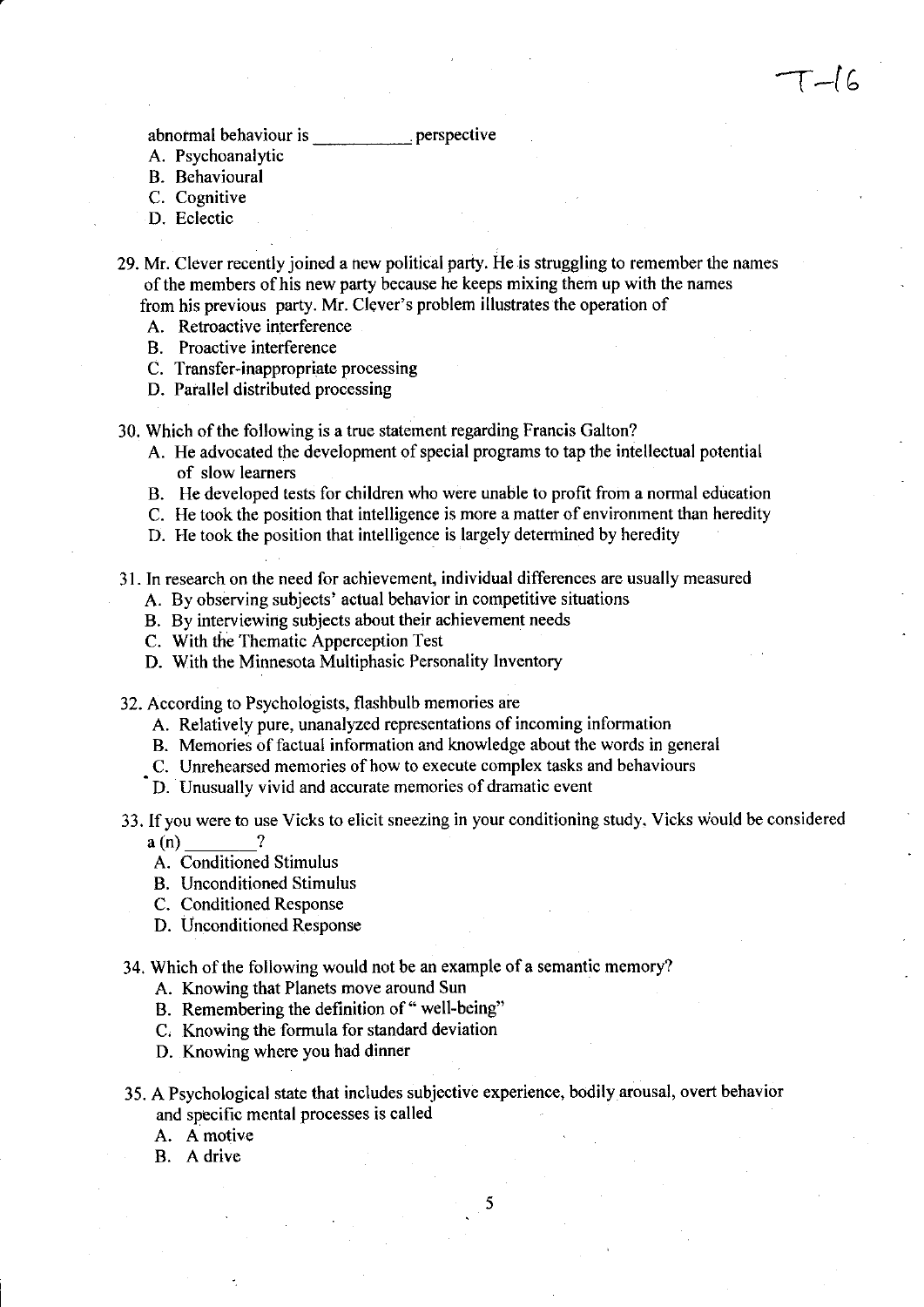- A. Psychoanalytic
- B. Behavioural
- C. Cognitive
- D. Eclectic

29. Mr. Clever recently joined a new political party. He is struggling to remember the names of the members of his new party because he keeps mixing them up with the names from his previous party. Mr. Clever's problem illustrates the operation of

 $\Gamma -$ [6

- A. Retroactive interference
- B. Proactive interference
- C. Transfer-inappropriate processing
- D. Parallel distributed processing
- 30. Which of the following is a true statement regarding Francis Galton?
	- A. He advocated the development of special programs to tap the intellectual potential of slow learners
	- B. He developed tests for children who were unable to profit from a normal education
	- C. He took the position that intelligence is more a matter of environment than heredity
	- D. He took the position that intelligence is largely determined by heredity
- 31. **In** research on the need for achievement, individual differences are usually measured
	- A. By observing subjects' actual behavior in competitive situations
	- B. By interviewing subjects about their achievement needs
	- C. With the Thematic Apperception Test
	- D. With the Minnesota Multiphasic Personality Inventory
- 32. According to Psychologists, flashbulb memories are
	- A. Relatively pure, unanalyzed representations of incoming information
	- B. Memories of factual information and knowledge about the words in general
	- C. Unrehearsed memories of how to execute complex tasks and behaviours
	- D. Unusually vivid and accurate memories of dramatic event
- 33. If you were to use Vicks to elicit sneezing in your conditioning study. Vicks would be considered  $a(n)$  ?
	- A. Conditioned Stimulus
	- B. Unconditioned Stimulus
	- C. Conditioned Response
	- D. Unconditioned Response
- 34. Which of the following would not be an example of a semantic memory?
	- A. Knowing that Planets move around Sun
	- B. Remembering the definition of "well-being"
	- C. Knowing the formula for standard deviation
	- D. Knowing where you had dinner
- 35. A Psychological state that includes subjective experience, bodily arousal, overt behavior and specific mental processes is called

- A. A motive
- B. A drive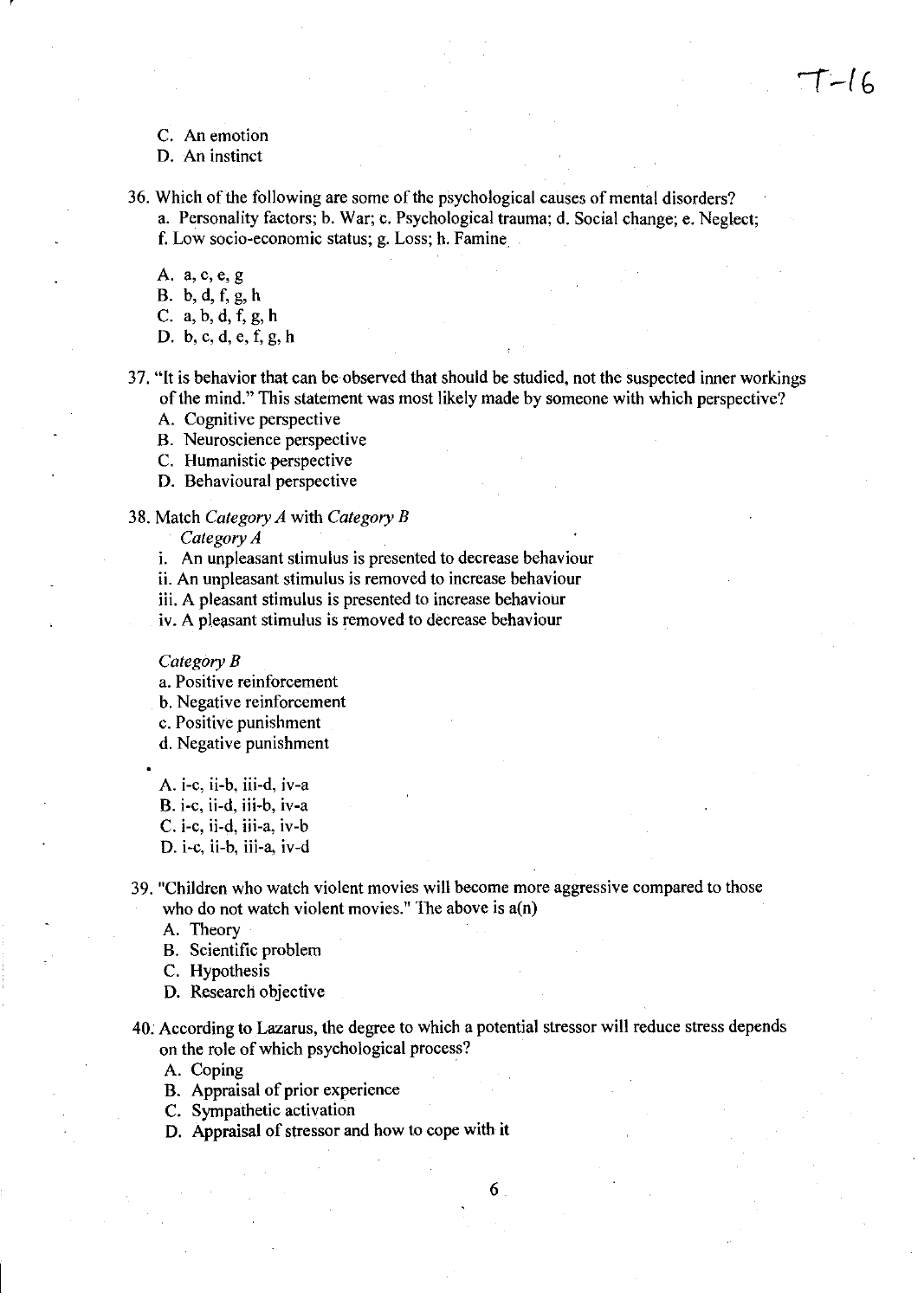C. An emotion

r

- D. An instinct
- 36. Which of the following are some of the psychological causes of mental disorders? a. Personality factors; b. War; c. Psychological trauma; d. Social change; e. Neglect; f. Low socio-economic status; g. Loss; h. Famine
	- A. a, c, e, g B. b, d, f, g, h C. a, b, d, f, g, h D. b, c, d, e, f, g, h
- 37. "It is behavior that can be observed that should be studied, not the suspected inner workings of the mind." This statement was most likely made by someone with which perspective?
	- A. Cognitive perspective
	- B. Neuroscience perspective
	- C. Humanistic perspective
	- D. Behavioural perspective

#### 38. Match *Category A* with *Category B*

*Category A* 

- i. An unpleasant stimulus is presented to decrease behaviour
- ii. An unpleasant stimulus is removed to increase behaviour
- iii. A pleasant stimulus is presented to increase behaviour
- iv. A pleasant stimulus is removed to decrease behaviour

#### *CategoryB*

- a. Positive reinforcement
- b. Negative reinforcement
- c. Positive punishment
- d. Negative punishment
- A. i-c, ii-b, iii-d, iv-a
- B. i-c, ii-d, iii-b, iv-a
- C. i-c, ii-d, iii-a, iv-b
- D. i-c, ii-b, iii-a, iv-d
- 39. "Children who watch violent movies will become more aggressive compared to those who do not watch violent movies." The above is  $a(n)$

A. Theory

- B. Scientific problem
- C. Hypothesis
- D. Research objective
- 40. According to Lazarus, the degree to which a potential stressor will reduce stress depends on the role of which psychological process?

- A. Coping
- B. Appraisal of prior experience
- C. Sympathetic activation
- D. Appraisal of stressor and how to cope with it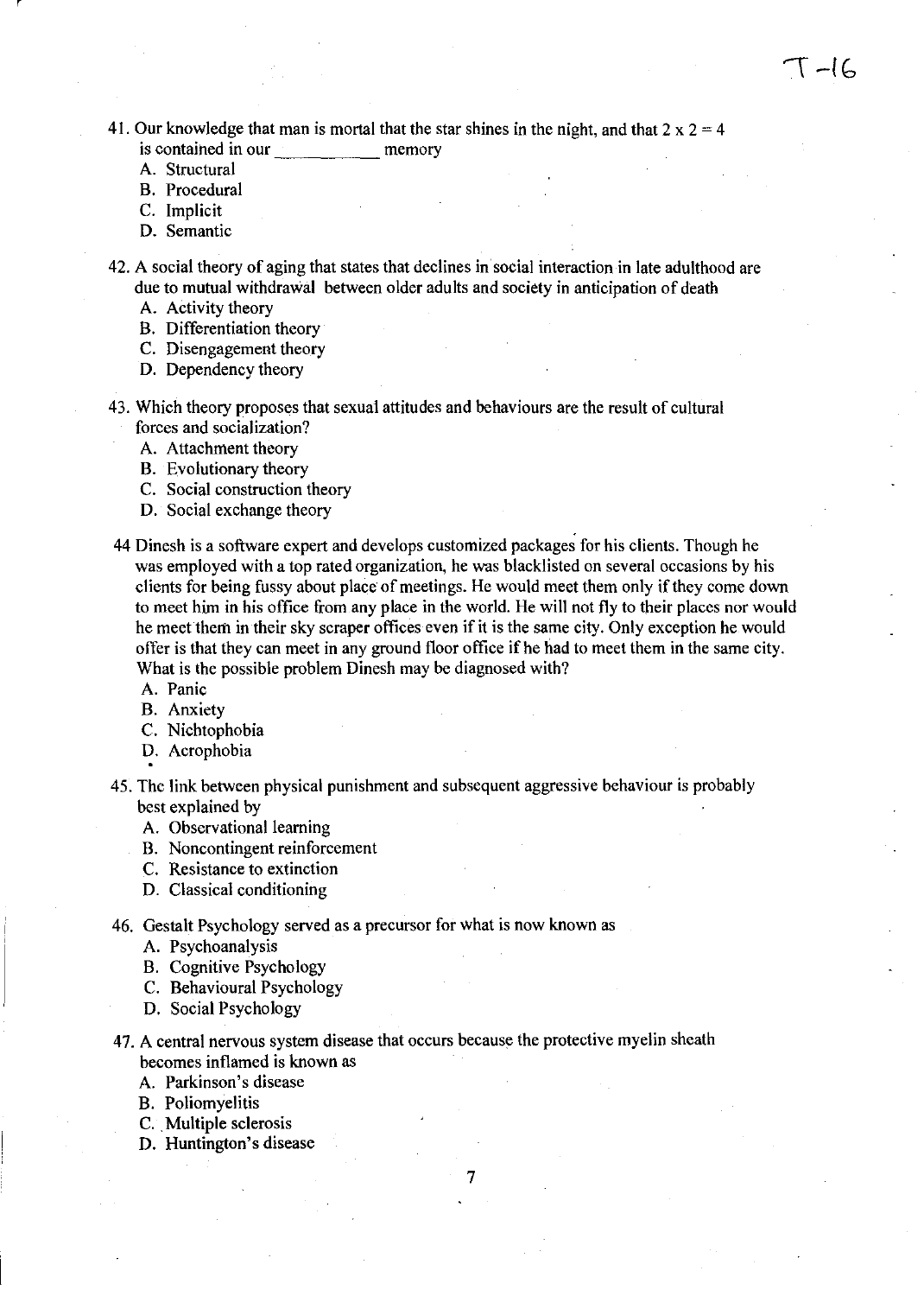41. Our knowledge that man is mortal that the star shines in the night, and that  $2 \times 2 = 4$ is contained in our memory

- A. Structural
- B. Procedural
- C. Implicit
- D. Semantic

42. A social theory of aging that states that declines in social interaction in late adulthood are due to mutual withdrawal between older adults and society in anticipation of death

- A. Activity theory
- B. Differentiation theory
- C. Disengagement theory
- D. Dependency theory
- 43. Which theory proposes that sexual attitudes and behaviours are the result of cultural forces and socialization?
	- A. Attachment theory
	- B. Evolutionary theory
	- C. Social construction theory
	- D. Social exchange theory
- 44 Dinesh is a software expert and develops customized packages for his clients. Though he was employed with a top rated organization, he was blacklisted on several occasions by his clients for being fussy about place of meetings. He would meet them only if they come down to meet him in his office from any place in the world. He will not fly to their places nor would he meet them in their sky scraper offices even if it is the same city. Only exception he would offer is that they can meet in any ground floor office ifhe had to meet them in the same city. What is the possible problem Dinesh may be diagnosed with?
	- A. Panic
	- B. Anxiety
	- C. Nichtophobia
	- D. Acrophobia
- 45. The link between physical punishment and subsequent aggressive behaviour is probably best explained by
	- A. Observational learning
	- B. Noncontingent reinforcement
	- C. Resistance to extinction
	- D. Classical conditioning
- 46. Gestalt Psychology served as a precursor for what is now known as
	- A. Psychoanalysis
	- B. Cognitive Psychology
	- C. Behavioural Psychology
	- D. Social Psychology
- 47. A central nervous system disease that occurs because the protective myelin sheath becomes inflamed is known as

- A. Parkinson's disease
- B. Poliomyelitis
- C. Multiple sclerosis
- D. Huntington's disease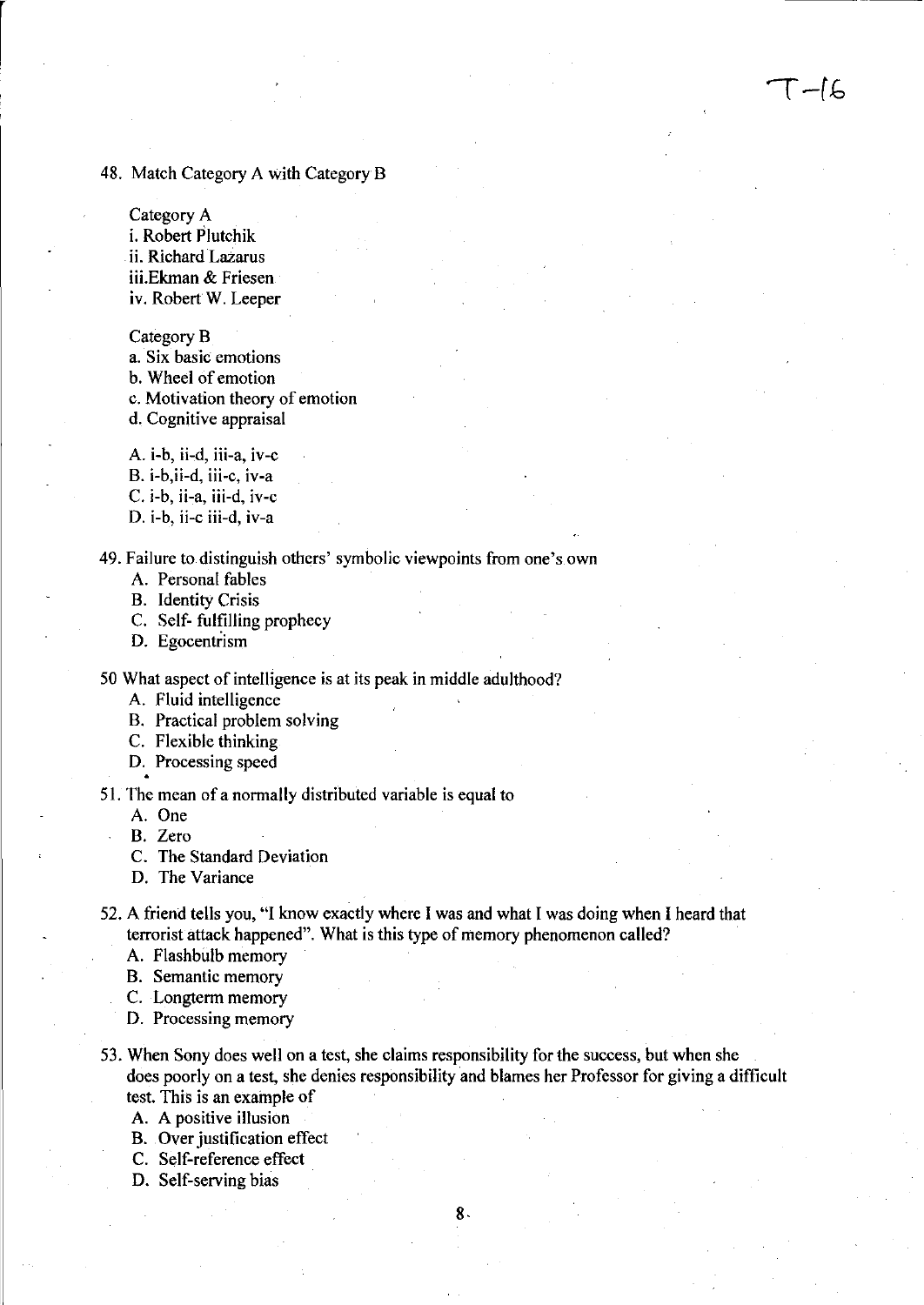#### 48. Match Category A with Category B

Category A i. Robert Plutchik ii. Richard Lazarus iii.Ekman & Friesen iv. Robert W. Leeper

Category B

a. Six basic emotions b. Wheel of emotion

c. Motivation theory of emotion

d. Cognitive appraisal

A. i-b, ii-d, iii-a, iv-c

B. i-b,ii-d, iii-c, iv-a

C. i-b, ii-a, iii-d, iv-c

D. i-b, ii-c iii-d, iv-a

49. Failure to distinguish others' symbolic viewpoints from one's own

A. Personal fables

B. Identity Crisis

C. Self- fulfilling prophecy

D. Egocentrism

50 What aspect of intelligence is at its peak in middle adulthood?

A. Fluid intelligence

B. Practical problem solving

C. Flexible thinking

D. Processing speed

51. The mean of a normally distributed variable is equal to

A. One

B. Zero

C. The Standard Deviation

D. The Variance

52. A friend tells you, "I know exactly where I was and what I was doing when I heard that terrorist attack happened". What is this type of memory phenomenon called?

 $T-l6$ 

A. Flashbulb memory

B. Semantic memory

C. Longterm memory

D. Processing memory

53. When Sony does well on a test, she claims responsibility for the success, but when she does poorly on a test, she denies responsibility and blames her Professor for giving a difficult test. This is an example of

A. A positive illusion

B. Over justification effect

C. Self-reference effect

D. Self-serving bias

8.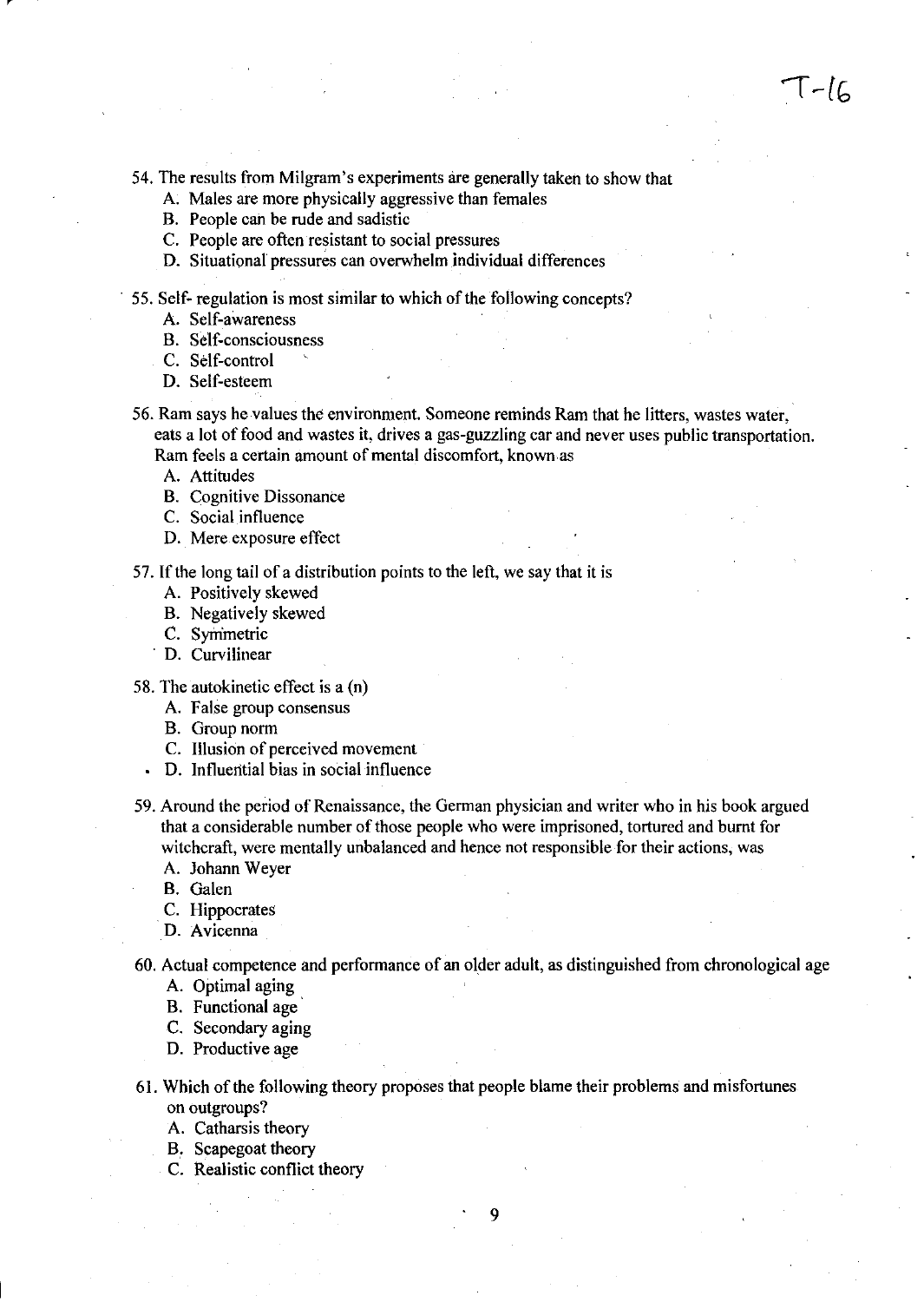$T-lc$ 

54. The results from Milgram's experiments are generally taken to show that

- A. Males are more physically aggressive than females
- B. People can be rude and sadistic
- C. People are often resistant to social pressures
- D. Situational pressures can overwhelm individual differences
- 55. Self- regulation is most similar to which of the following concepts?
	- A. Self-awareness
	- B. Self-consciousness
	- C. Self-control
	- D. Self-esteem
- 56. Ram says he values the environment. Someone reminds Ram that he litters, wastes water, eats a lot of food and wastes it, drives a gas-guzzling car and never uses public transportation. Ram feels a certain amount of mental discomfort, known as
	- A. Attitudes
	- B. Cognitive Dissonance
	- C. Social influence
	- D. Mere exposure effect
- 57. If the long tail of a distribution points to the left, we say that it is
	- A. Positively skewed
	- B. Negatively skewed
	- C. Symmetric
	- . D. Curvilinear
- 58. The autokinetic effect is a (n)
	- A. False group consensus
	- B. Group norm
	- C. Illusion of perceived movement
	- D. Influential bias in social influence
- 59. Around the period of Renaissance, the German physician and writer who in his book argued that a considerable number of those people who were imprisoned, tortured and burnt for witchcraft, were mentally unbalanced and hence not responsible for their actions, was
	- A. Johann Weyer
	- B. Galen
	- C. Hippocrates
	- D. Avicenna

60. Actual competence and performance of an older adult, as distinguished from chronological age

- A. Optimal aging
- B. Functional age
- C. Secondary aging
- D. Productive age
- 61. Which of the following theory proposes that people blame their problems and misfortunes on outgroups?
	- A. Catharsis theory
	- B. Scapegoat theory
	- C. Realistic conflict theory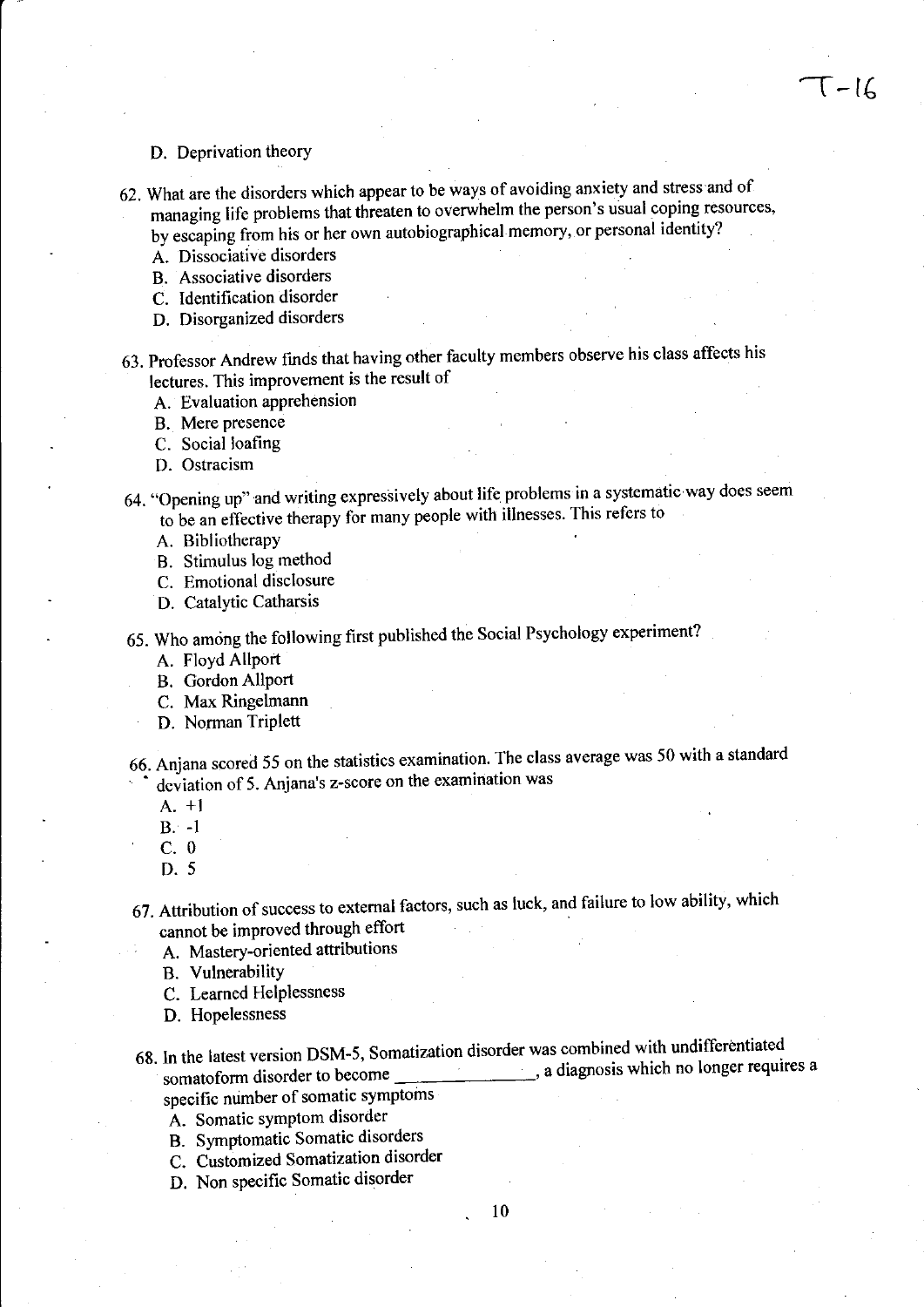#### D. Deprivation theory

- 62. What are the disorders which appear to be ways of avoiding anxiety and stress and of managing life problems that threaten to overwhelm the person's usual coping resources, by escaping from his or her own autobiographical memory, or personal identity?
	- A. Dissociative disorders
	- B. Associative disorders
	- C. Identification disorder
	- D. Disorganized disorders
- 63. Professor Andrew fmds that having other faculty members observe his class affects his lectures. This improvement is the result of
	- A. Evaluation apprehension
	- B. Mere presence
	- C. Social loafing
	- D. Ostracism
- 64. "Opening up" and writing expressively about life problems in a systematic way does seem to be an effective therapy for many people with illnesses. This refers to
	- A. Bibliotherapy
	- B. Stimulus log method
	- C. Emotional disclosure
	- D. Catalytic Catharsis
- 65. Who among the following first published the Social Psychology experiment?
	- A. Floyd Allport
	- B. Gordon Allport
	- C. Max Ringelmann
	- D. Norman Triplett
- 66. Anjana scored 55 on the statistics examination. The class average was 50 with a standard • deviation of 5. Anjana's z-score on the examination was
	- A. +1
	- B. -1
	- C. 0
	- D. 5
- 67. Attribution of success to external factors, such as luck, and failure to low ability, which cannot be improved through effort
	- A. Mastery-oriented attributions
	- B. Vulnerability
	- C. Learned Helplessness
	- D. Hopelessness
- 68. In the latest version DSM-5, Somatization disorder was combined with undifferentiated somatoform disorder to become , a diagnosis which no longer requires a specific number of somatic symptoms
	- A. Somatic symptom disorder
	- B. Symptomatic Somatic disorders
	- C. Customized Somatization disorder
	- D. Non specific Somatic disorder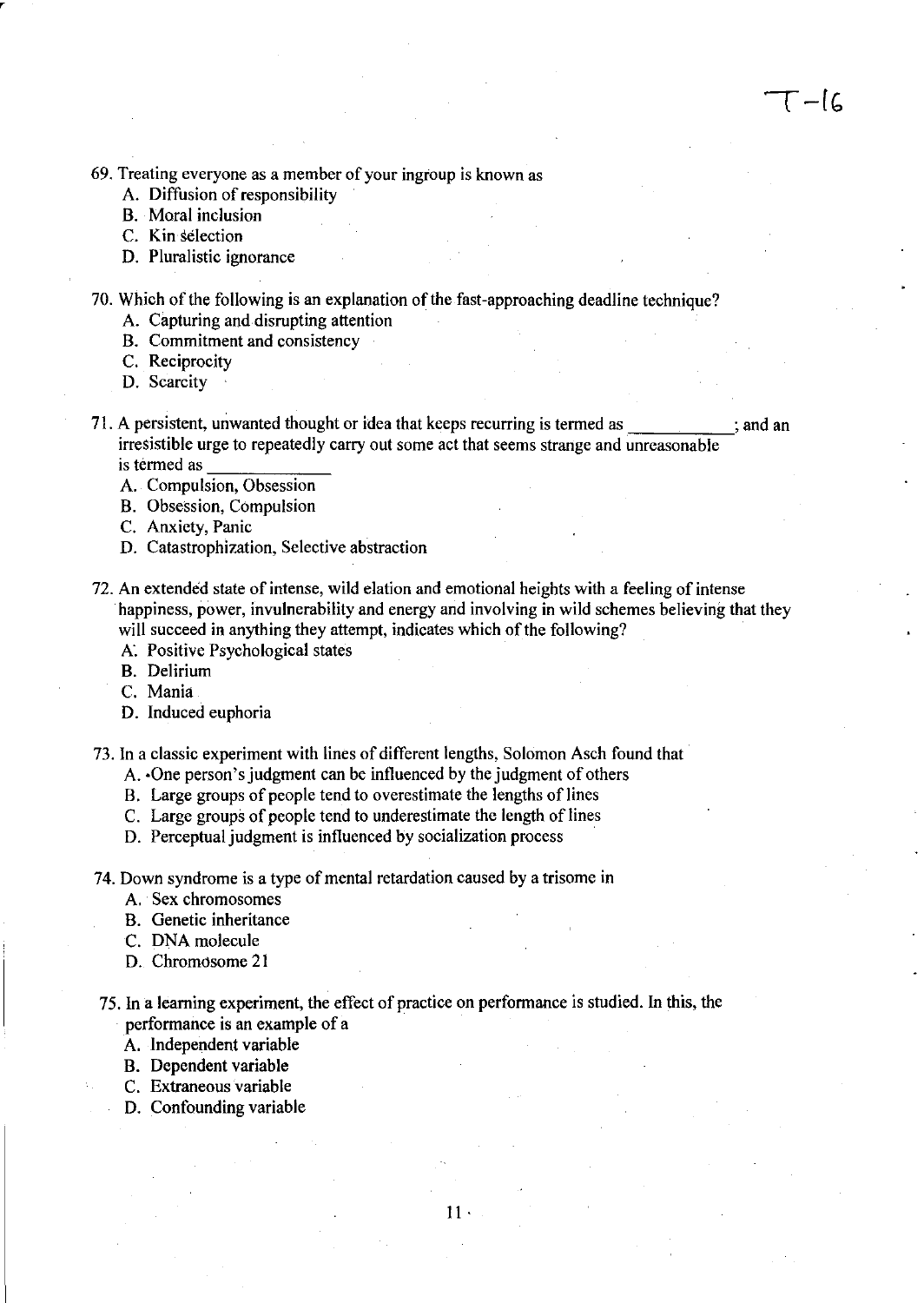69. Treating everyone as a member of your ingroup is known as

- A. Diffusion of responsibility
- B. Moral inclusion
- C. Kin selection

,

- D. Pluralistic ignorance
- 70. Which of the following is an explanation of the fast-approaching deadline technique?
	- A. Capturing and disrupting attention
	- B. Commitment and consistency
	- C. Reciprocity
	- D. Scarcity
- 71. A persistent, unwanted thought or idea that keeps recurring is termed as ; and an ; and an irresistible urge to repeatedly carry out some act that seems strange and unreasonable is termed as
	- A. Compulsion, Obsession
	- B. Obsession, Compulsion
	- C. Anxiety, Panic
	- D. Catastrophization, Selective abstraction
- 72. An extended state of intense, wild elation and emotional heights with a feeling of intense happiness, power, invulnerability and energy and involving in wild schemes believing that they will succeed in anything they attempt, indicates which of the following?
	- A. Positive Psychological states
	- B. Delirium
	- C. Mania
	- D. Induced euphoria

73. In a classic experiment with lines of different lengths, Solomon Asch found that·

- A. ·One person's judgment can be influenced by the judgment of others
- B. Large groups of people tend to overestimate the lengths of lines
- C. Large groups of people tend to underestimate the length of lines
- D. Perceptual judgment is influenced by socialization process
- 74. Down syndrome is a type of mental retardation caused by a trisome in
	- A. Sex chromosomes
	- B. Genetic inheritance
	- C. DNA molecule
	- D. Chromosome 21
- 75. In a learning experiment, the effect of practice on performance is studied. In this, the performance is an example of a
	- A. Independent variable
	- B. Dependent variable
	- C. Extraneous variable
	- D. Confounding variable

11·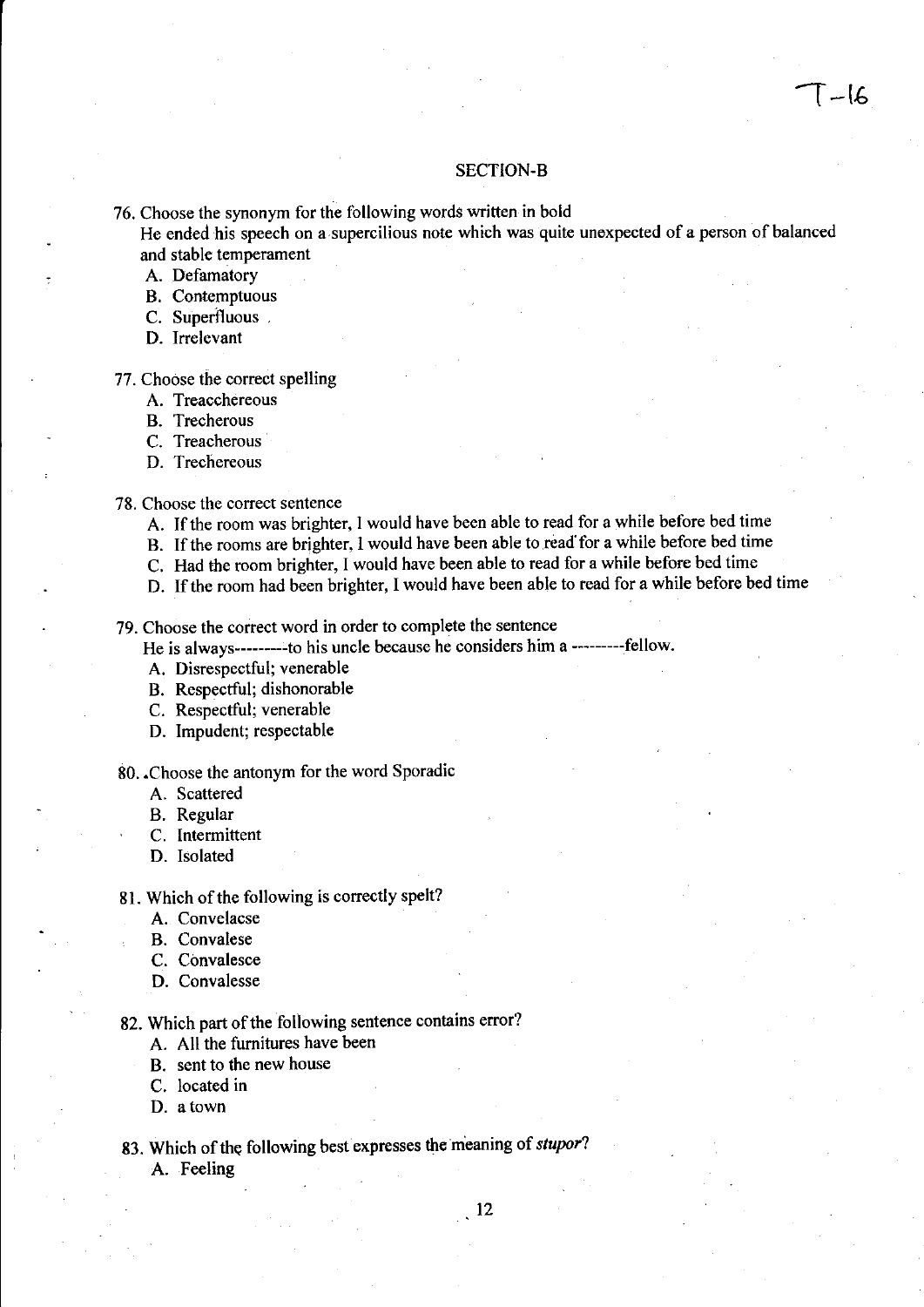#### SECTION-B

76. Choose the synonym for the following words written in bold

He ended his speech on a supercilious note which was quite unexpected of a person of balanced and stable temperament

A. Defamatory

- B. Contemptuous
- C. Superfluous ,
- D. Irrelevant
- 77. Choose the correct spelling
	- A. Treacchereous
	- B. Trecherous
	- C. Treacherous
	- D. Trechereous
- 78. Choose the correct sentence
	- A. If the room was brighter, I would have been able to read for a while before bed time
	- B. If the rooms are brighter, I would have been able to read for a while before bed time
	- C. Had the room brighter, I would have been able to read for a while before bed time
	- D. If the room had been brighter, I would have been able to read for a while before bed time

79. Choose the correct word in order to complete the sentence

He is always---------to his uncle because he considers him a ---------fellow.

- A. Disrespectful; venerable
- B. Respectful; dishonorable
- C. Respectful; venerable
- D. Impudent; respectable

## 80. . Choose the antonym for the word Sporadic

- A. Scattered
- B. Regular
- C. Intermittent
- D. Isolated
- 81. Which of the following is correctly spelt?
	- A. Convelacse
	- B. Convalese
	- C. Convalesce
	- D. Convalesse

82. Which part of the following sentence contains error?

- A. All the fumitures have been
- B. sent to the new house
- C. located in
- D. atown
- 83. Which of the following best expresses the meaning of *stupor?*  A. Feeling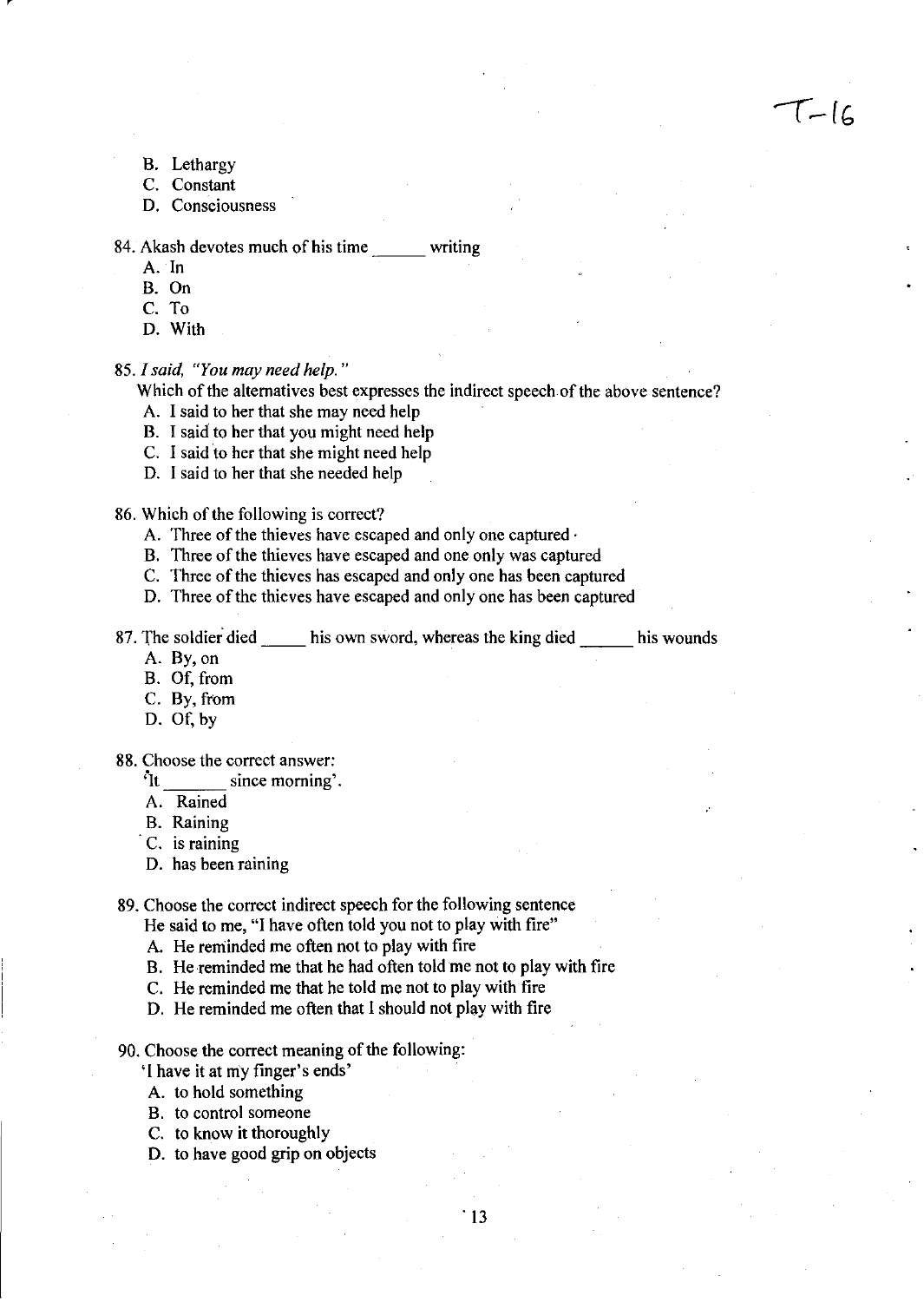$T-lc$ 

- B. Lethargy
- C. Constant
- D. Consciousness

#### 84. Akash devotes much of his time writing

- A. In
- B. On
- C. To
- D. With

#### 85. I said, "You may need help."

Which of the alternatives best expresses the indirect speech of the above sentence?

- A. I said to her that she may need help
- B. I said to her that you might need help
- C. ] said to her that she might need help
- D. I said to her that she needed help

#### 86. Which of the following is correct?

- A. Three of the thieves have escaped and only one captured·
- B. Three of the thieves have escaped and one only was captured
- C. Three of the thieves has escaped and only one has been captured
- D. Three of the thieves have escaped and only one has been captured

87. The soldier died \_\_\_\_\_ his own sword, whereas the king died \_\_\_\_\_\_ his wounds

- A. By,on
- B. Of, from
- C. By, from
- D. Of, by

#### 88. Choose the correct answer:

- :It since morning'.
- A. Rained
- B. Raining
- C. is raining
- D. has been raining

# 89. Choose the correct indirect speech for the following sentence

- He said to me, "I have often told you not to play with fire"
- A. He reminded me often not to play with fire
- B. He reminded me that he had often told me not to play with fire
- C. He reminded me that he told me not to play with fire
- D. He reminded me often that I should not play with fire
- 90. Choose the correct meaning of the following:
	- 'I have it at my finger's ends'
	- A. to hold something
	- B. to control someone
	- C. to know it thoroughly
	- D. to have good grip on objects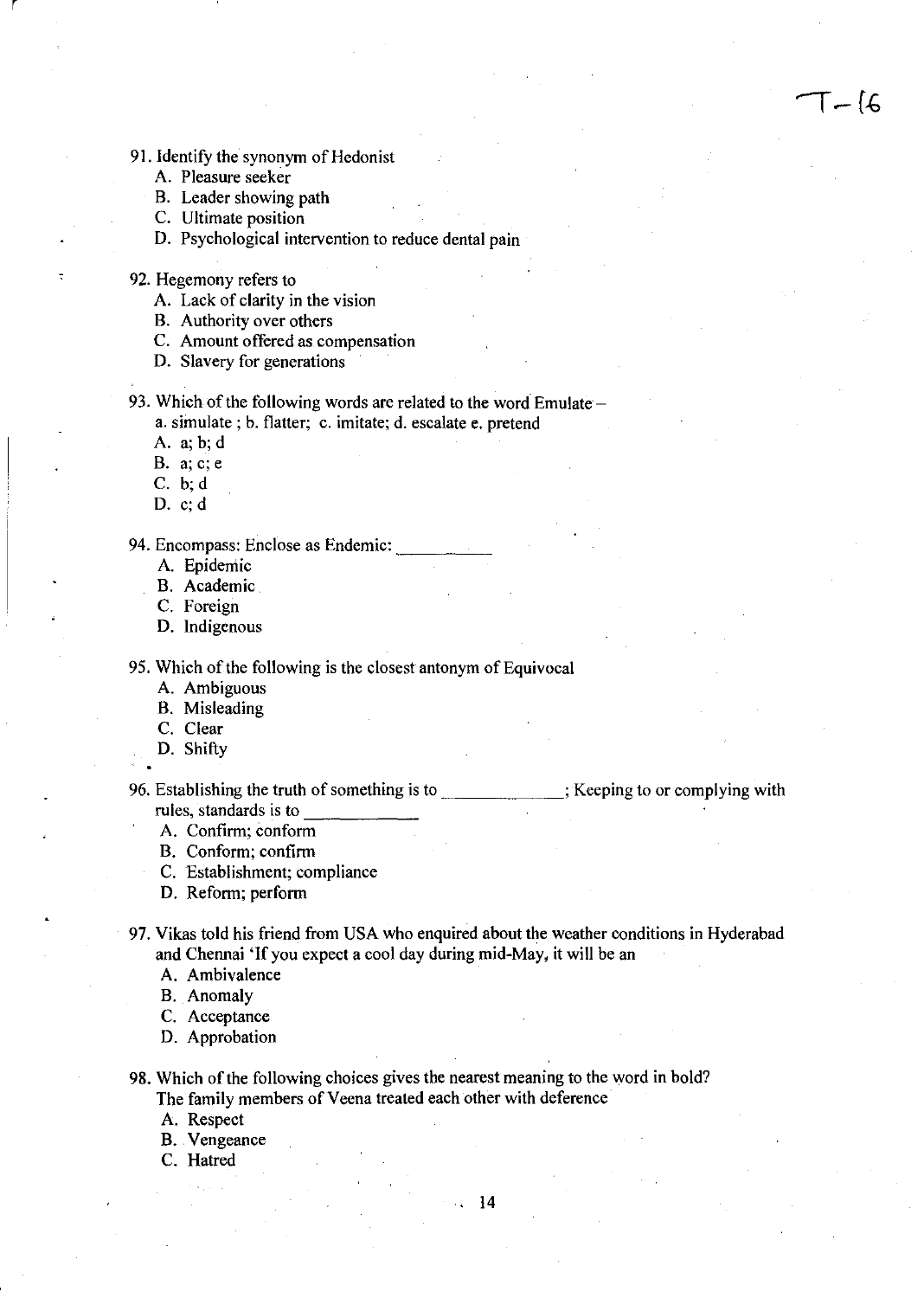- 91. Identify the synonym of Hedonist
	- A. Pleasure seeker

r

- B. Leader showing path
- C. Ultimate position
- D. Psychological intervention to reduce dental pain
- 92. Hegemony refers to
	- A. Lack of clarity in the vision
	- B. Authority over others
	- C. Amount offered as compensation
	- D. Slavery for generations

93. Which of the following words are related to the word Emulate – a. simulate; b. flatter; c. imitate; d. escalate e. pretend

- A. a; b;d
- **B. a;c;e**
- C. b;d
- D. c; d

94. Encompass: Enclose as Endemic:

- A. Epidemic
- B. Academic
- C. Foreign
- D. Indigenous

95. Which of the following is the closest antonym of Equivocal

- A. Ambiguous
- B. Misleading
- C. Clear
- D. Shifty

<sup>1</sup><br>96. Establishing the truth of something is to <u>\_\_\_\_\_\_\_\_\_\_\_\_</u>; Keeping to or complying with Establishing the truth of something is<br>rules, standards is to

 $\mathsf{T} - \mathsf{I} \mathsf{G}$ 

- A. Confirm; conform
- B. Conform; confirm
- C. Establishment; compliance
- D. Reform; perform
- 97. Vikas told his friend from USA who enquired about the weather conditions in Hyderabad and Chennai 'If you expect a cool day during mid-May, it will be an
	- A. Ambivalence
	- B. Anomaly
	- C. Acceptance
	- D. Approbation

98. Which of the following choices gives the nearest meaning to the word in bold? The family members of Veena treated each other with deference

- A. Respect
- B. Vengeance
- C. Hatred

. **14**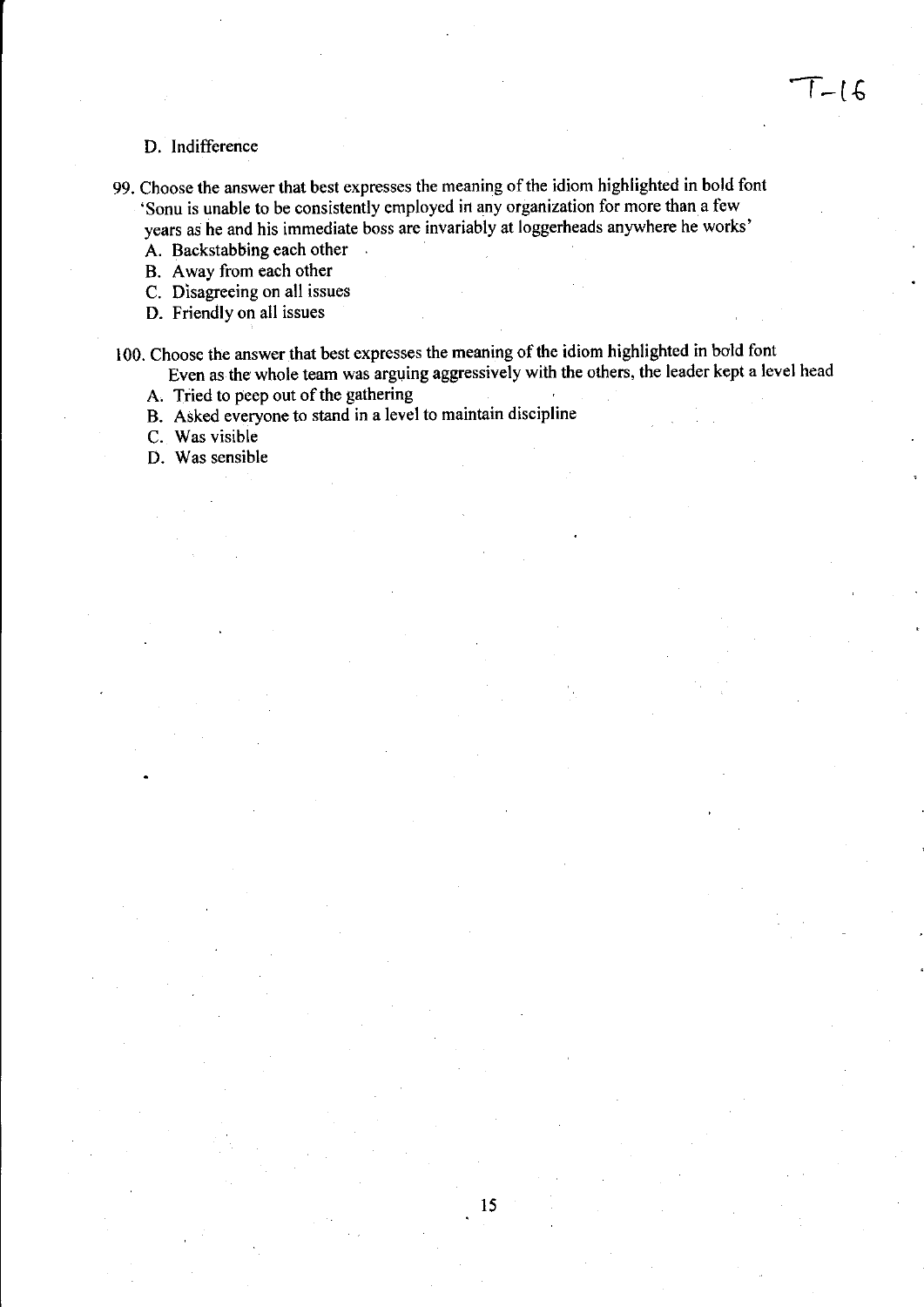### D. Indifference

- 99. Choose the answer that best expresses the meaning of the idiom highlighted in bold font 'Sonu is unable to be consistently employed in any organization for more than a few years as he and his immediate boss are invariably at loggerheads anywhere he works'
	- A. Backstabbing each other
	- B. Away from each other
	- C. Disagreeing on all issues
	- D. Friendly on all issues

100. Choose the answer.that best expresses the meaning of the idiom highlighted in bold font Even as the whole team was arguing aggressively with the others, the leader kept a level head

A. Tried to peep out of the gathering

B. Asked everyone to stand in a level to maintain discipline

 $\mathbb{R}^2$ 

C. Was visible

D. Was sensible